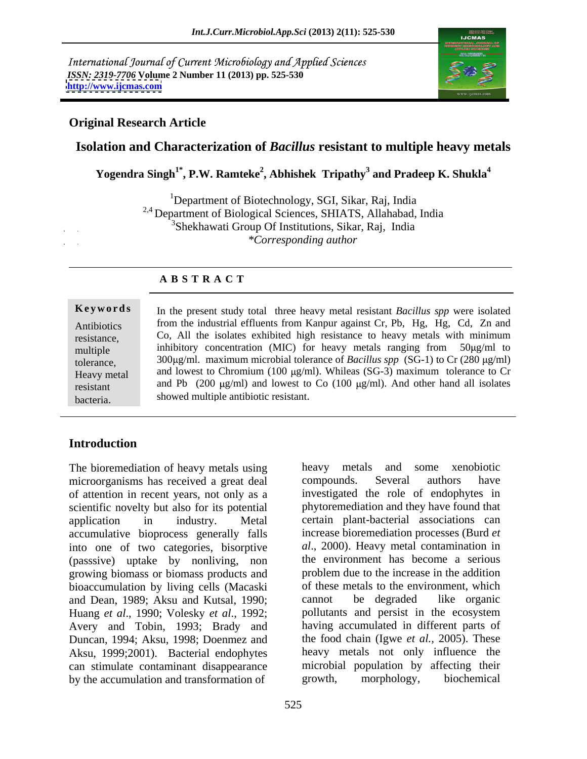International Journal of Current Microbiology and Applied Sciences *ISSN: 2319-7706* **Volume 2 Number 11 (2013) pp. 525-530 <http://www.ijcmas.com>**



#### **Original Research Article**

### **Isolation and Characterization of** *Bacillus* **resistant to multiple heavy metals**

**Yogendra Singh1\* , P.W. Ramteke<sup>2</sup> , Abhishek Tripathy<sup>3</sup> and Pradeep K. Shukla<sup>4</sup>**

<sup>1</sup>Department of Biotechnology, SGI, Sikar, Raj, India <sup>2,4</sup> Department of Biological Sciences, SHIATS, Allahabad, India <sup>3</sup>Shekhawati Group Of Institutions, Sikar, Raj, India *\*Corresponding author* 

#### **A B S T R A C T**

**Keywords** In the present study total three heavy metal resistant *Bacillus spp* were isolated Antibiotics from the industrial effluents from Kanpur against Cr, Pb, Hg, Hg, Cd, Zn and resistance, Co, All the isolates exhibited high resistance to heavy metals with minimum multiple inhibitory concentration (MIC) for heavy metals ranging from 50µg/ml to tolerance,  $300 \mu\text{g/ml}$ . maximum microbial tolerance of *Bacillus spp* (SG-1) to Cr (280  $\mu\text{g/ml}$ ) Heavy metal and lowest to Chromium (100 µg/ml). Whileas (SG-3) maximum tolerance to Cr resistant and Pb  $(200 \text{ µg/ml})$  and lowest to Co  $(100 \text{ µg/ml})$ . And other hand all isolates Keywords<br>
In the present study total three heavy metal resistant *Bacillus spp* were isolated<br>
from the industrial effluents from Kanpur against Cr, Pb, Hg, Hg, Cd, Zn and<br>
co, All the isolates exhibited high resistance to showed multiple antibiotic resistant.

### **Introduction**

The bioremediation of heavy metals using heavy metals and some xenobiotic microorganisms has received a great deal compounds. Several authors have of attention in recent years, not only as a scientific novelty but also for its potential application in industry. Metal certain plant-bacterial associations can accumulative bioprocess generally falls into one of two categories, bisorptive (passsive) uptake by nonliving, non growing biomass or biomass products and bioaccumulation by living cells (Macaski and Dean, 1989; Aksu and Kutsal, 1990; cannot be degraded like organic Huang *et al.*, 1990: Volesky *et al.*, 1992: pollutants and persist in the ecosystem Huang *et al*., 1990; Volesky *et al*., 1992; Avery and Tobin, 1993; Brady and Duncan, 1994; Aksu, 1998; Doenmez and Aksu, 1999;2001). Bacterial endophytes can stimulate contaminant disappearance by the accumulation and transformation of growth, morphology, biochemical

heavy metals and some xenobiotic compounds. Several authors have investigated the role of endophytes in phytoremediation and they have found that increase bioremediation processes (Burd *et al*., 2000). Heavy metal contamination in the environment has become a serious problem due to the increase in the addition of these metals to the environment, which cannot be degraded like organic pollutants and persist in the ecosystem having accumulated in different parts of the food chain (Igwe *et al.,* 2005). These heavy metals not only influence the microbial population by affecting their growth, morphology, biochemical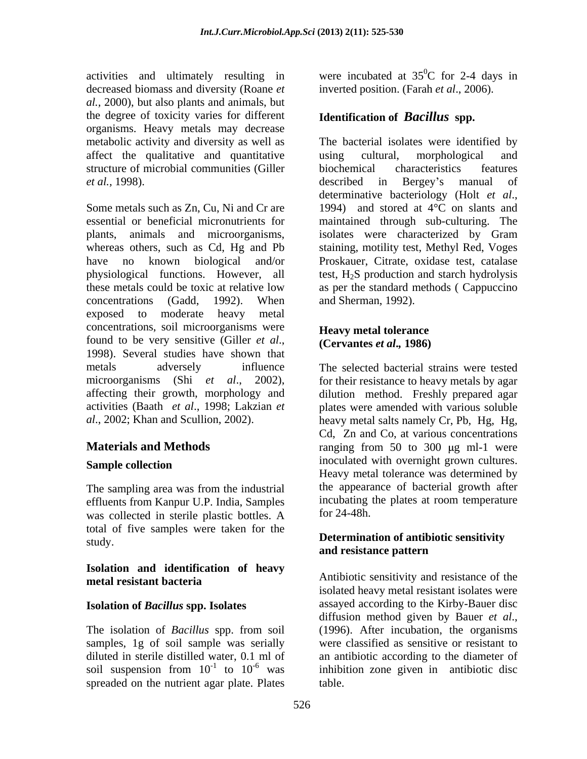activities and ultimately resulting in decreased biomass and diversity (Roane *et al.,* 2000), but also plants and animals, but the degree of toxicity varies for different organisms. Heavy metals may decrease affect the qualitative and quantitative using cultural, morphological and structure of microbial communities (Giller *et al.*, 1998). **example 3** described in Bergey's manual of

Some metals such as Zn, Cu, Ni and Cr are 1994) and stored at 4<sup>o</sup>C on slants and essential or beneficial micronutrients for maintained through sub-culturing. The plants, animals and microorganisms, whereas others, such as Cd, Hg and Pb have no known biological and/or Proskauer, Citrate, oxidase test, catalase physiological functions. However, all test, H2S production and starch hydrolysis these metals could be toxic at relative low as per the standard methods ( Cappuccino concentrations (Gadd, 1992). When exposed to moderate heavy metal concentrations, soil microorganisms were found to be very sensitive (Giller *et al.*, (Cervantes *et al.*, 1986)<br>1998). Several studies have shown that metals adversely influence The selected bacterial strains were tested microorganisms (Shi *et al*., 2002), for their resistance to heavy metals by agar affecting their growth, morphology and dilution method. Freshly prepared agar activities (Baath *et al*., 1998; Lakzian *et*  plates were amended with varioussoluble

The sampling area was from the industrial effluents from Kanpur U.P. India, Samples incubating<br>was collected in sterile plastic bottles A for 24-48h. was collected in sterile plastic bottles. A total of five samples were taken for the study. **Determination of antibiotic sensitivity** 

## **Isolation and identification of heavy**

#### **Isolation of** *Bacillus* **spp. Isolates**

The isolation of *Bacillus* spp. from soil samples, 1g of soil sample was serially diluted in sterile distilled water, 0.1 ml of<br>soil suspension from  $10^{-1}$  to  $10^{-6}$  was spreaded on the nutrient agar plate. Plates

were incubated at  $35^{\circ}$ C for 2-4 days in  ${}^{0}C$  for 2-4 days in inverted position. (Farah *et al*., 2006).

### **Identification of** *Bacillus* **spp.**

metabolic activity and diversity as well as The bacterial isolates were identified by using cultural, morphological and biochemical characteristics features described in Bergey s manual of determinative bacteriology (Holt *et al*., isolates were characterized by Gram staining, motility test, Methyl Red, Voges and Sherman, 1992).

#### **Heavy metal tolerance (Cervantes** *et al***.***,* **1986)**

*al*., 2002; Khan and Scullion, 2002). heavy metal salts namely Cr, Pb, Hg, Hg, **Materials and Methods ranging from 50 to 300 µg ml-1 were** Sample collection **Sample collection Sample collection** Cd, Zn and Co, at various concentrations inoculated with overnight grown cultures. Heavy metal tolerance was determined by the appearance of bacterial growth after incubating the plates at room temperature  $for 24-48h.$ 

# **and resistance pattern**

**metal resistant bacteria** soil suspension from  $10^{-1}$  to  $10^{-6}$  was inhibition zone given in antibiotic disc Antibiotic sensitivity and resistance of the isolated heavy metal resistant isolates were assayed according to the Kirby-Bauer disc diffusion method given by Bauer *et al*., (1996). After incubation, the organisms were classified as sensitive or resistant to an antibiotic according to the diameter of table.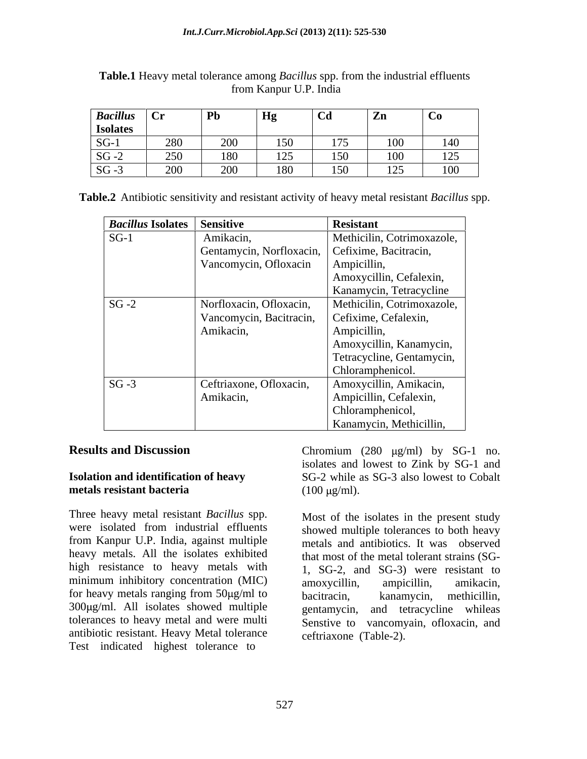| <b>Bacillus</b> | $\mathbf{u}$ | Pb                    | Hg                                           | C <sub>d</sub> | Zn  | $\sim$        |
|-----------------|--------------|-----------------------|----------------------------------------------|----------------|-----|---------------|
| <b>Isolates</b> |              |                       |                                              |                |     |               |
| $SG-1$          | 280          | $\Omega$<br>$\omega$  | $\rightarrow$ $\rightarrow$ $\sim$<br>$\sim$ | 1.7.7          | 100 | 140           |
| $SG - 2$        | 250          | 180<br>100            | 125<br>14J                                   | 150            | 100 | $\sim$ $\sim$ |
| $SG - 3$        | 200          | $\Omega$<br>$\sim$ 00 | 180<br>10V                                   | 150<br>$\sim$  | 125 | 100           |

| Table.1 Heavy metal tolerance among <i>Bacillus</i> spp. from the industrial ef<br>effluents |  |
|----------------------------------------------------------------------------------------------|--|
| T T T T T T T T<br>l India<br>from Kanpur U.F                                                |  |

**Table.2** Antibiotic sensitivity and resistant activity of heavy metal resistant *Bacillus* spp.

| <i>Bacillus Isolates</i>   Sensitive |                                                | <b>Resistant</b>           |
|--------------------------------------|------------------------------------------------|----------------------------|
| $SG-1$                               | Amikacin,                                      | Methicilin, Cotrimoxazole, |
|                                      | Gentamycin, Norfloxacin, Cefixime, Bacitracin, |                            |
|                                      | Vancomycin, Ofloxacin                          | Ampicillin,                |
|                                      |                                                | Amoxycillin, Cefalexin,    |
|                                      |                                                | Kanamycin, Tetracycline    |
| $SG - 2$                             | Norfloxacin, Ofloxacin,                        | Methicilin, Cotrimoxazole, |
|                                      | Vancomycin, Bacitracin,                        | Cefixime, Cefalexin,       |
|                                      | Amikacin,                                      | Ampicillin,                |
|                                      |                                                | Amoxycillin, Kanamycin,    |
|                                      |                                                | Tetracycline, Gentamycin,  |
|                                      |                                                | Chloramphenicol.           |
| $SG - 3$                             | Ceftriaxone, Ofloxacin,                        | Amoxycillin, Amikacin,     |
|                                      | Amikacin,                                      | Ampicillin, Cefalexin,     |
|                                      |                                                | Chloramphenicol,           |
|                                      |                                                | Kanamycin, Methicillin,    |

Three heavy metal resistant *Bacillus* spp. from Kanpur U.P. India, against multiple heavy metals. All the isolates exhibited high resistance to heavy metals with minimum inhibitory concentration (MIC)  $\frac{2}{\text{max}} \sum 2$ , and  $\sum 5$ , were resistant to for heavy metals ranging from  $50\mu\text{g/ml}$  to bacitracin,  $300\mu\text{g/ml}$ . All isolates showed multiple antibiotic resistant. Heavy Metal tolerance Test indicated highest tolerance to

**Results and Discussion** Chromium (280 µg/ml) by SG-1 no. **Isolation and identification of heavy**  SG-2 while as SG-3 also lowest to Cobalt **metals resistant bacteria** (100 µg/ml). isolates and lowest to Zink by SG-1 and  $(100 \,\mu\text{g/ml})$ .

were isolated from industrial effluents showed multiple tolerances to both heavy tolerances to heavy metal and were multi Senstive to vancomyain, ofloxacin, and Most of the isolates in the present study metals and antibiotics. It was observed that most of the metal tolerant strains (SG- 1, SG-2, and SG-3) were resistant to amoxycillin, ampicillin, amikacin, kanamycin, methicillin, gentamycin, and tetracycline whileas ceftriaxone (Table-2).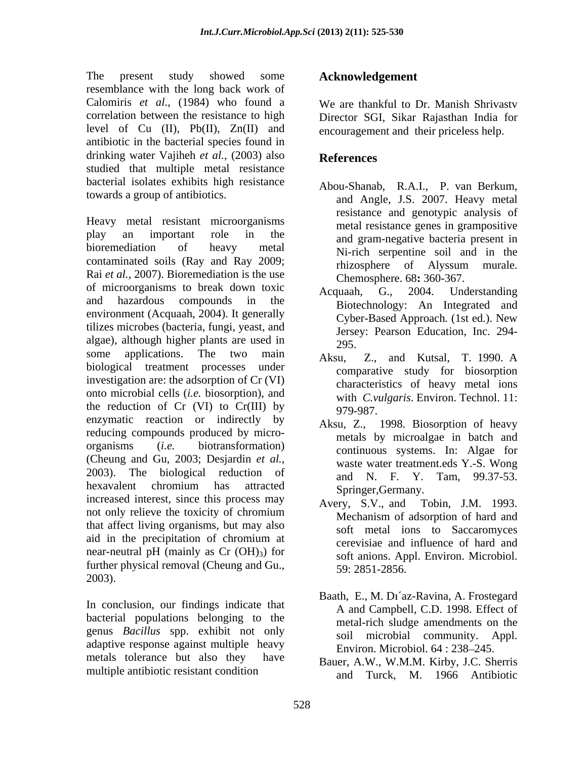The present study showed some **Acknowledgement** resemblance with the long back work of Calomiris *et al*., (1984) who found a correlation between the resistance to high Director SGI, Sikar Rajasthan India for level of  $Cu$  (II),  $Pb(II)$ ,  $Zn(II)$  and antibiotic in the bacterial species found in drinking water Vajiheh et al., (2003) also **References** studied that multiple metal resistance bacterial isolates exhibits high resistance towards a group of antibiotics.

Heavy metal resistant microorganisms play an important role in the and gram-negative bacteria present in bioremediation of heavy metal Ni-rich serpentine soil and in the contaminated soils (Ray and Ray 2009;<br>rhizosphere of Alyssum murale. Rai *et al.,* 2007). Bioremediation is the use of microorganisms to break down toxic Acquaah, G., 2004. Understanding and hazardous compounds in the Biotechnology: An Integrated and environment (Acquaah, 2004). It generally<br>Cyber-Based Approach. (1st ed.). New tilizes microbes (bacteria, fungi, yeast, and algae), although higher plants are used in  $295$ . some applications. The two main  $A_{k}$ su  $B_{k}$  and Kutsal T 1990 A some applications. The two main Aksu,<br>biological treatment processes under investigation are: the adsorption of Cr (VI) onto microbial cells (*i.e.* biosorption), and the reduction of Cr (VI) to Cr(III) by  $\frac{64.64}{979-987}$ . enzymatic reaction or indirectly by reducing compounds produced by micro organisms (*i.e.* biotransformation) continuous systems. In: Algae for (Cheung and Gu, 2003; Desjardin *et al.*,<br>2003). The biological reduction of  $\begin{array}{ccc}\n & \text{water treatment.eds Y.-S. Wong} \\
 & \text{and} & N & F & Y & \text{Tam} & 9937-53\n\end{array}$ hexavalent chromium has attracted springer Germany increased interest, since this process may be examined a Tobin, J.M. 1993. not only relieve the toxicity of chromium that affect living organisms, but may also aid in the precipitation of chromium at the experimental contraction of hard and near-neutral pH (mainly as  $Cr$  (OH)<sub>3</sub>) for further physical removal (Cheung and Gu., 2003).

In conclusion, our findings indicate that bacterial populations belonging to the genus *Bacillus* spp. exhibit not only adaptive response against multiple heavy metals tolerance but also they have multiple antibiotic resistant condition

### **Acknowledgement**

We are thankful to Dr. Manish Shrivastv encouragement and their priceless help.

### **References**

- Abou-Shanab, R.A.I., P. van Berkum, and Angle, J.S. 2007. Heavy metal resistance and genotypic analysis of metal resistance genes in grampositive rhizosphere of Alyssum murale. Chemosphere. 68**:** 360-367.
- Acquaah, G., 2004. Understanding Cyber-Based Approach*.* (1st ed.). New Jersey: Pearson Education, Inc. 294- 295.
- Z., and Kutsal, T. 1990. A comparative study for biosorption characteristics of heavy metal ions with *C.vulgaris*. Environ. Technol. 11: 979-987.
- Aksu, Z., 1998. Biosorption of heavy metals by microalgae in batch and waste water treatment.eds Y.-S. Wong and N. F. Y. Tam, 99.37-53. Springer,Germany.
- Avery, S.V., and Tobin, J.M. 1993. Mechanism of adsorption of hard and soft metal ions to Saccaromyces cerevisiae and influence of hard and soft anions. Appl. Environ. Microbiol. 59: 2851-2856.
- Baath, E., M. Di'az-Ravina, A. Frostegard A and Campbell, C.D. 1998. Effect of metal-rich sludge amendments on the soil microbial community. Appl. Environ. Microbiol. 64 : 238-245.
- Bauer, A.W., W.M.M. Kirby, J.C. Sherris and Turck, M. 1966 Antibiotic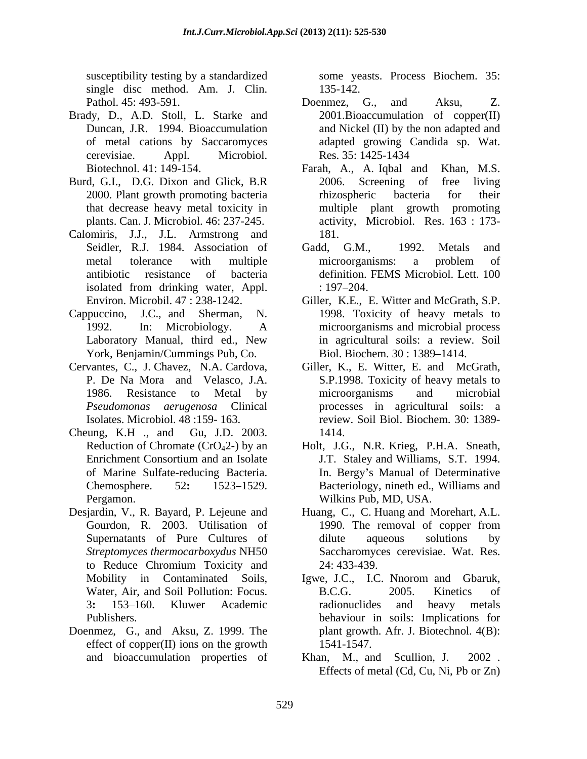susceptibility testing by a standardized some yeasts. Process Biochem. 35: single disc method. Am. J. Clin. 135-142.

- Brady, D., A.D. Stoll, L. Starke and cerevisiae. Appl. Microbiol.
- Burd, G.I., D.G. Dixon and Glick, B.R 2006. Screening of free living
- Calomiris, J.J., J.L. Armstrong and
- York, Benjamin/Cummings Pub, Co.
- Cervantes, C., J. Chavez, N.A. Cardova,
- Cheung, K.H ., and Gu, J.D. 2003. Pergamon. Wilkins Pub, MD, USA.
- Pergamon.<br>
Desjardin, V., R. Bayard, P. Lejeune and Huang, C., C. Huang and Morehart, A.L. to Reduce Chromium Toxicity and
- Doenmez, G., and Aksu, Z. 1999. The effect of copper(II) ions on the growth  $1541-1547$ .

135-142.

- Pathol. 45: 493-591. Duncan, J.R. 1994. Bioaccumulation and Nickel (II) by the non adapted and of metal cations by Saccaromyces adapted growing Candida sp. Wat. Doenmez, G., and Aksu, Z. 2001.Bioaccumulation of copper(II) Res. 35: 1425-1434
- Biotechnol. 41: 149-154. Farah, A., A. Iqbal and Khan, M.S. 2000. Plant growth promoting bacteria rhizospheric bacteria for their that decrease heavy metal toxicity in multiple plant growth promoting plants. Can. J. Microbiol. 46: 237-245. activity, Microbiol. Res. 163 : 173- 2006. Screening of free living rhizospheric bacteria for their multiple plant growth promoting 181.
- Seidler, R.J. 1984. Association of Gadd. G.M., 1992. Metals and metal tolerance with multiple microorganisms: a problem of antibiotic resistance of bacteria definition. FEMS Microbiol. Lett. 100 isolated from drinking water, Appl.  $\qquad \qquad$  : 197–204. Gadd, G.M., 1992. Metals and microorganisms: a problem of  $: 197 - 204.$
- Environ. Microbil. 47 : 238-1242. Giller, K.E., E. Witter and McGrath, S.P. Cappuccino, J.C., and Sherman, N. 1998. Toxicity of heavy metals to 1992. In: Microbiology. A microorganisms and microbial process Laboratory Manual, third ed., New in agricultural soils: a review.Soil Biol. Biochem. 30: 1389-1414.
	- P. De Na Mora and Velasco, J.A. S.P.1998. Toxicity of heavy metals to 1986. Resistance to Metal by microorganisms and microbial *Pseudomonas aerugenosa* Clinical processes in agricultural soils: a Isolates. Microbiol. 48 :159- 163. review. Soil Biol. Biochem. 30: 1389- Giller, K., E. Witter, E. and McGrath, microorganisms and microbial 1414.
	- Reduction of Chromate (CrO42-) by an Holt, J.G., N.R. Krieg, P.H.A. Sneath, Enrichment Consortium and an Isolate **Enrichment Consortium and an Isolate E I.T.** Staley and Williams, S.T. 1994. of Marine Sulfate-reducing Bacteria. In. Bergy s Manual of Determinative Chemosphere. 52: 1523–1529. Bacteriology, nineth ed., Williams and J.T. Staley and Williams, S.T. 1994.
	- Gourdon, R. 2003. Utilisation of 1990. The removal of copper from Supernatants of Pure Cultures of *Streptomyces thermocarboxydus* NH50 1990. The removal of copper from dilute aqueous solutions by Saccharomyces cerevisiae. Wat. Res. 24: 433-439.
	- Mobility in Contaminated Soils, Igwe, J.C., I.C. Nnorom and Gbaruk, Water, Air, and Soil Pollution: Focus. B.C.G. 2005. Kinetics of 3**:** 153 160. Kluwer Academic Publishers. behaviour in soils: Implications for B.C.G. 2005. Kinetics of radionuclides and heavy metals plant growth. Afr. J. Biotechnol*.* 4(B): 1541-1547.
	- and bioaccumulation properties of Khan, M., and Scullion, J. 2002. Khan, M., and Scullion, J. Effects of metal (Cd, Cu, Ni, Pb or Zn)